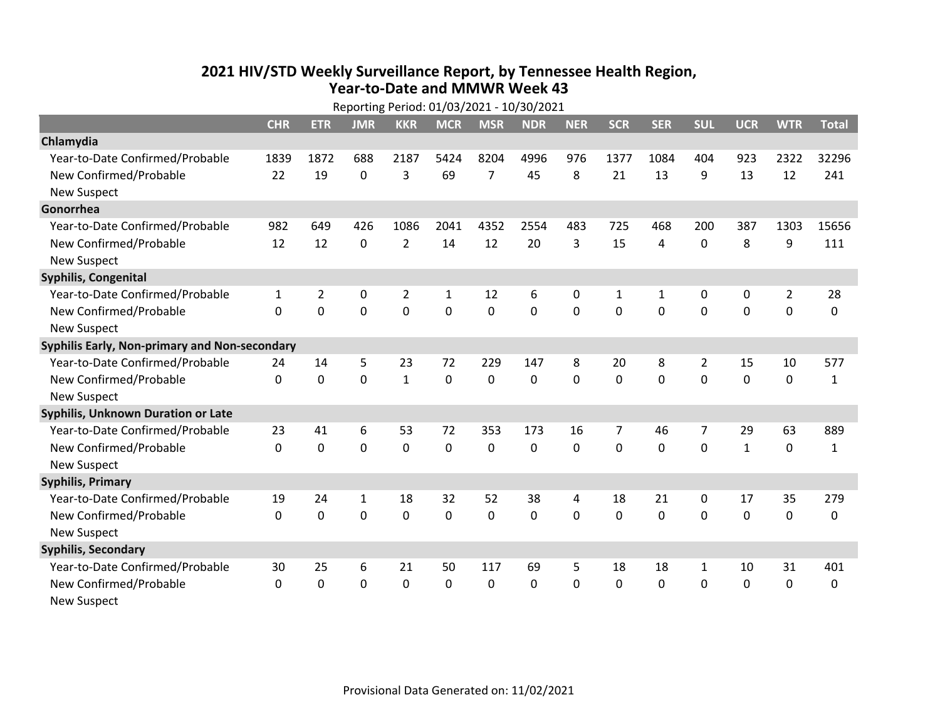## **2021 HIV /STD Weekly Surveillance Report, by Tennessee Health Region, Year‐to‐Date and MMWR Week 43** Reporting Period: 01/03/2021 ‐ 10/30/2021

|                                               | Reporting Period: 01/03/2021 - 10/30/2021 |                |                |                |             |                |            |            |              |              |                |              |                |              |
|-----------------------------------------------|-------------------------------------------|----------------|----------------|----------------|-------------|----------------|------------|------------|--------------|--------------|----------------|--------------|----------------|--------------|
|                                               | <b>CHR</b>                                | <b>ETR</b>     | <b>JMR</b>     | <b>KKR</b>     | <b>MCR</b>  | <b>MSR</b>     | <b>NDR</b> | <b>NER</b> | <b>SCR</b>   | <b>SER</b>   | <b>SUL</b>     | <b>UCR</b>   | <b>WTR</b>     | <b>Total</b> |
| Chlamydia                                     |                                           |                |                |                |             |                |            |            |              |              |                |              |                |              |
| Year-to-Date Confirmed/Probable               | 1839                                      | 1872           | 688            | 2187           | 5424        | 8204           | 4996       | 976        | 1377         | 1084         | 404            | 923          | 2322           | 32296        |
| New Confirmed/Probable                        | 22                                        | 19             | $\mathbf 0$    | 3              | 69          | $\overline{7}$ | 45         | 8          | 21           | 13           | 9              | 13           | 12             | 241          |
| <b>New Suspect</b>                            |                                           |                |                |                |             |                |            |            |              |              |                |              |                |              |
| Gonorrhea                                     |                                           |                |                |                |             |                |            |            |              |              |                |              |                |              |
| Year-to-Date Confirmed/Probable               | 982                                       | 649            | 426            | 1086           | 2041        | 4352           | 2554       | 483        | 725          | 468          | 200            | 387          | 1303           | 15656        |
| New Confirmed/Probable                        | 12                                        | 12             | $\mathbf 0$    | $\overline{2}$ | 14          | 12             | 20         | 3          | 15           | 4            | 0              | 8            | 9              | 111          |
| <b>New Suspect</b>                            |                                           |                |                |                |             |                |            |            |              |              |                |              |                |              |
| <b>Syphilis, Congenital</b>                   |                                           |                |                |                |             |                |            |            |              |              |                |              |                |              |
| Year-to-Date Confirmed/Probable               | 1                                         | $\overline{2}$ | $\mathbf 0$    | $\overline{2}$ | 1           | 12             | 6          | 0          | $\mathbf{1}$ | $\mathbf{1}$ | 0              | 0            | $\overline{2}$ | 28           |
| New Confirmed/Probable                        | $\Omega$                                  | 0              | 0              | 0              | $\mathbf 0$ | $\mathbf 0$    | 0          | $\Omega$   | $\Omega$     | 0            | 0              | 0            | $\mathbf 0$    | 0            |
| <b>New Suspect</b>                            |                                           |                |                |                |             |                |            |            |              |              |                |              |                |              |
| Syphilis Early, Non-primary and Non-secondary |                                           |                |                |                |             |                |            |            |              |              |                |              |                |              |
| Year-to-Date Confirmed/Probable               | 24                                        | 14             | 5              | 23             | 72          | 229            | 147        | 8          | 20           | 8            | 2              | 15           | 10             | 577          |
| New Confirmed/Probable                        | 0                                         | $\mathbf 0$    | $\overline{0}$ | $\mathbf{1}$   | $\mathbf 0$ | $\overline{0}$ | 0          | $\Omega$   | $\Omega$     | $\Omega$     | $\mathbf 0$    | $\mathbf 0$  | $\mathbf 0$    | $\mathbf{1}$ |
| <b>New Suspect</b>                            |                                           |                |                |                |             |                |            |            |              |              |                |              |                |              |
| <b>Syphilis, Unknown Duration or Late</b>     |                                           |                |                |                |             |                |            |            |              |              |                |              |                |              |
| Year-to-Date Confirmed/Probable               | 23                                        | 41             | 6              | 53             | 72          | 353            | 173        | 16         | 7            | 46           | $\overline{7}$ | 29           | 63             | 889          |
| New Confirmed/Probable                        | $\mathbf 0$                               | $\mathbf 0$    | $\overline{0}$ | $\mathbf 0$    | $\mathbf 0$ | 0              | $\Omega$   | $\Omega$   | $\Omega$     | $\Omega$     | 0              | $\mathbf{1}$ | $\mathbf 0$    | $\mathbf{1}$ |
| <b>New Suspect</b>                            |                                           |                |                |                |             |                |            |            |              |              |                |              |                |              |
| <b>Syphilis, Primary</b>                      |                                           |                |                |                |             |                |            |            |              |              |                |              |                |              |
| Year-to-Date Confirmed/Probable               | 19                                        | 24             | $\mathbf{1}$   | 18             | 32          | 52             | 38         | 4          | 18           | 21           | 0              | 17           | 35             | 279          |
| New Confirmed/Probable                        | $\mathbf 0$                               | $\mathbf 0$    | 0              | 0              | $\mathbf 0$ | 0              | 0          | $\Omega$   | $\Omega$     | 0            | 0              | $\mathbf 0$  | $\mathbf 0$    | 0            |
| <b>New Suspect</b>                            |                                           |                |                |                |             |                |            |            |              |              |                |              |                |              |
| <b>Syphilis, Secondary</b>                    |                                           |                |                |                |             |                |            |            |              |              |                |              |                |              |
| Year-to-Date Confirmed/Probable               | 30                                        | 25             | 6              | 21             | 50          | 117            | 69         | 5          | 18           | 18           | 1              | 10           | 31             | 401          |
| New Confirmed/Probable                        | 0                                         | 0              | 0              | 0              | $\mathbf 0$ | 0              | 0          | $\Omega$   | $\mathbf{0}$ | 0            | $\mathbf{0}$   | 0            | $\mathbf 0$    | 0            |
| <b>New Suspect</b>                            |                                           |                |                |                |             |                |            |            |              |              |                |              |                |              |